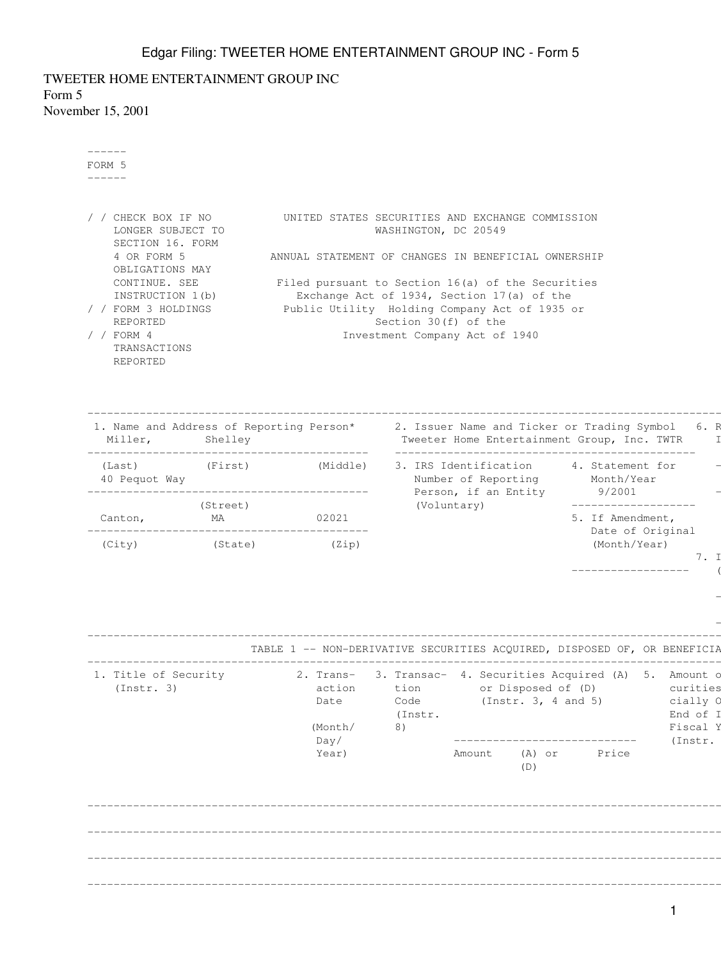TWEETER HOME ENTERTAINMENT GROUP INC Form 5 November 15, 2001

| ------<br>UNITED STATES SECURITIES AND EXCHANGE COMMISSION<br>LONGER SUBJECT TO<br>WASHINGTON, DC 20549<br>SECTION 16. FORM<br>4 OR FORM 5<br>ANNUAL STATEMENT OF CHANGES IN BENEFICIAL OWNERSHIP<br>OBLIGATIONS MAY<br>CONTINUE. SEE<br>Filed pursuant to Section 16(a) of the Securities<br>INSTRUCTION 1(b)<br>Exchange Act of 1934, Section 17(a) of the<br>Public Utility Holding Company Act of 1935 or<br>Section 30(f) of the<br><b>REPORTED</b><br>Investment Company Act of 1940<br>TRANSACTIONS<br>REPORTED<br>1. Name and Address of Reporting Person* 2. Issuer Name and Ticker or Trading Symbol 6. R<br>(Last) (First) (Middle)<br>3. IRS Identification 4. Statement for<br>Number of Reporting Month/Year<br>Person, if an Entity 9/2001<br>(Voluntary)<br>____________________<br>(Street)<br>MA 02021<br>5. If Amendment,<br>Canton,<br>Date of Original<br>(Month/Year)<br>(City) (State) (Zip)<br>7. I<br>__________________<br>TABLE 1 -- NON-DERIVATIVE SECURITIES ACQUIRED, DISPOSED OF, OR BENEFICIA<br>1. Title of Security 2. Trans- 3. Transac- 4. Securities Acquired (A) 5. Amount o<br>(Instr. 3) (Instr. 3) action tion or Disposed of (D) curities<br>cially O<br>Code<br>(Instr. 3, 4 and 5)<br>Date<br>End of I<br>(Instr.<br>Fiscal Y<br>(Month/<br>8)<br>Day/<br>(Instr. | ------ |  |  |  |  |  |
|---------------------------------------------------------------------------------------------------------------------------------------------------------------------------------------------------------------------------------------------------------------------------------------------------------------------------------------------------------------------------------------------------------------------------------------------------------------------------------------------------------------------------------------------------------------------------------------------------------------------------------------------------------------------------------------------------------------------------------------------------------------------------------------------------------------------------------------------------------------------------------------------------------------------------------------------------------------------------------------------------------------------------------------------------------------------------------------------------------------------------------------------------------------------------------------------------------------------------------------------------------------------------------------------------------------|--------|--|--|--|--|--|
| / / CHECK BOX IF NO<br>/ / FORM 3 HOLDINGS<br>/ $/$ FORM 4                                                                                                                                                                                                                                                                                                                                                                                                                                                                                                                                                                                                                                                                                                                                                                                                                                                                                                                                                                                                                                                                                                                                                                                                                                                    | FORM 5 |  |  |  |  |  |
|                                                                                                                                                                                                                                                                                                                                                                                                                                                                                                                                                                                                                                                                                                                                                                                                                                                                                                                                                                                                                                                                                                                                                                                                                                                                                                               |        |  |  |  |  |  |
|                                                                                                                                                                                                                                                                                                                                                                                                                                                                                                                                                                                                                                                                                                                                                                                                                                                                                                                                                                                                                                                                                                                                                                                                                                                                                                               |        |  |  |  |  |  |
|                                                                                                                                                                                                                                                                                                                                                                                                                                                                                                                                                                                                                                                                                                                                                                                                                                                                                                                                                                                                                                                                                                                                                                                                                                                                                                               |        |  |  |  |  |  |
|                                                                                                                                                                                                                                                                                                                                                                                                                                                                                                                                                                                                                                                                                                                                                                                                                                                                                                                                                                                                                                                                                                                                                                                                                                                                                                               |        |  |  |  |  |  |
|                                                                                                                                                                                                                                                                                                                                                                                                                                                                                                                                                                                                                                                                                                                                                                                                                                                                                                                                                                                                                                                                                                                                                                                                                                                                                                               |        |  |  |  |  |  |
|                                                                                                                                                                                                                                                                                                                                                                                                                                                                                                                                                                                                                                                                                                                                                                                                                                                                                                                                                                                                                                                                                                                                                                                                                                                                                                               |        |  |  |  |  |  |
|                                                                                                                                                                                                                                                                                                                                                                                                                                                                                                                                                                                                                                                                                                                                                                                                                                                                                                                                                                                                                                                                                                                                                                                                                                                                                                               |        |  |  |  |  |  |
|                                                                                                                                                                                                                                                                                                                                                                                                                                                                                                                                                                                                                                                                                                                                                                                                                                                                                                                                                                                                                                                                                                                                                                                                                                                                                                               |        |  |  |  |  |  |
|                                                                                                                                                                                                                                                                                                                                                                                                                                                                                                                                                                                                                                                                                                                                                                                                                                                                                                                                                                                                                                                                                                                                                                                                                                                                                                               |        |  |  |  |  |  |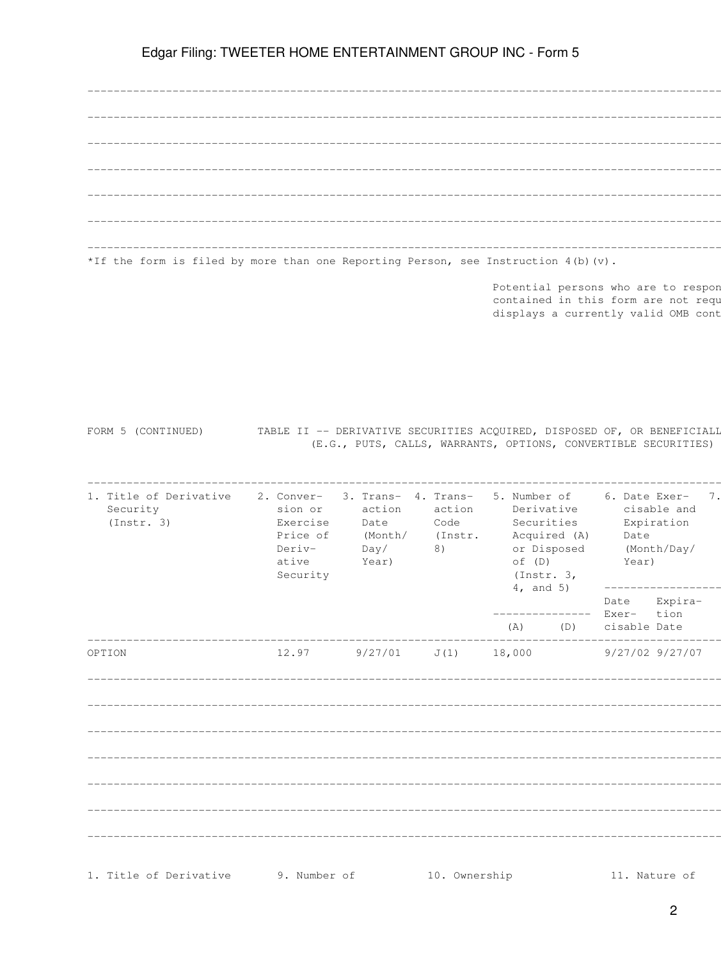| *If the form is filed by more than one Reporting Person, see Instruction $4(b)(v)$ . |  |
|--------------------------------------------------------------------------------------|--|

Potential persons who are to respon<br>contained in this form are not requ displays a currently valid OMB cont

| FORM 5 (CONTINUED) |  |  |  | TABLE II -- DERIVATIVE SECURITIES ACOUIRED, DISPOSED OF, OR BENEFICIALL |  |  |  |
|--------------------|--|--|--|-------------------------------------------------------------------------|--|--|--|
|                    |  |  |  | (E.G., PUTS, CALLS, WARRANTS, OPTIONS, CONVERTIBLE SECURITIES)          |  |  |  |

| 1. Title of Derivative<br>Security<br>(Instr. 3) | 2. Conver-<br>sion or<br>Exercise<br>Price of<br>Deriv-<br>ative<br>Security | 3. Trans- 4. Trans-<br>action<br>Date<br>(Month/ (Instr.<br>Day/<br>Year) | action<br>Code<br>8) |     | Derivative<br>Securities<br>Acquired (A)<br>$\circ f$ (D)<br>(Instr. 3, | Date<br>or Disposed (Month/Day/<br>Year)       | 5. Number of 6. Date Exer- 7.<br>cisable and<br>Expiration |  |
|--------------------------------------------------|------------------------------------------------------------------------------|---------------------------------------------------------------------------|----------------------|-----|-------------------------------------------------------------------------|------------------------------------------------|------------------------------------------------------------|--|
|                                                  |                                                                              |                                                                           |                      | (A) | $4,$ and $5)$<br>_____________                                          | Date Expira-<br>Exer- tion<br>(D) cisable Date | __________________                                         |  |
| OPTION                                           |                                                                              | $12.97$ $9/27/01$ $J(1)$                                                  |                      |     |                                                                         | 18,000 9/27/02 9/27/07                         |                                                            |  |
|                                                  |                                                                              |                                                                           |                      |     |                                                                         |                                                |                                                            |  |
|                                                  |                                                                              |                                                                           |                      |     |                                                                         |                                                |                                                            |  |
|                                                  |                                                                              |                                                                           |                      |     |                                                                         |                                                |                                                            |  |
|                                                  |                                                                              |                                                                           |                      |     |                                                                         |                                                |                                                            |  |
|                                                  |                                                                              |                                                                           |                      |     |                                                                         |                                                |                                                            |  |
|                                                  |                                                                              |                                                                           |                      |     |                                                                         |                                                |                                                            |  |
|                                                  |                                                                              |                                                                           |                      |     |                                                                         |                                                |                                                            |  |
| 1. Title of Derivative                           | 9. Number of                                                                 |                                                                           | 10. Ownership        |     |                                                                         | 11. Nature of                                  |                                                            |  |